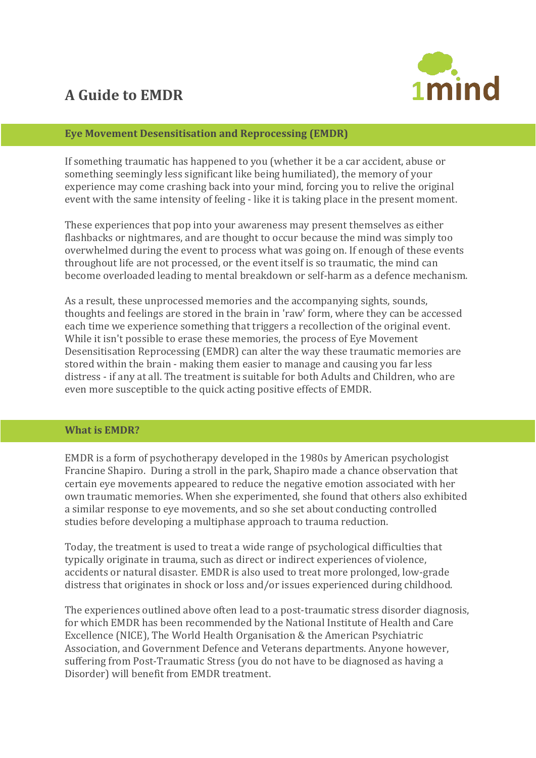# **A Guide to EMDR**



# **Eye Movement Desensitisation and Reprocessing (EMDR)**

If something traumatic has happened to you (whether it be a car accident, abuse or something seemingly less significant like being humiliated), the memory of your experience may come crashing back into your mind, forcing you to relive the original event with the same intensity of feeling - like it is taking place in the present moment.

These experiences that pop into your awareness may present themselves as either flashbacks or nightmares, and are thought to occur because the mind was simply too overwhelmed during the event to process what was going on. If enough of these events throughout life are not processed, or the event itself is so traumatic, the mind can become overloaded leading to mental breakdown or self-harm as a defence mechanism.

As a result, these unprocessed memories and the accompanying sights, sounds, thoughts and feelings are stored in the brain in 'raw' form, where they can be accessed each time we experience something that triggers a recollection of the original event. While it isn't possible to erase these memories, the process of Eye Movement Desensitisation Reprocessing (EMDR) can alter the way these traumatic memories are stored within the brain - making them easier to manage and causing you far less distress - if any at all. The treatment is suitable for both Adults and Children, who are even more susceptible to the quick acting positive effects of EMDR.

#### **What is EMDR?**

EMDR is a form of psychotherapy developed in the 1980s by American psychologist Francine Shapiro. During a stroll in the park, Shapiro made a chance observation that certain eye movements appeared to reduce the negative emotion associated with her own traumatic memories. When she experimented, she found that others also exhibited a similar response to eye movements, and so she set about conducting controlled studies before developing a multiphase approach to trauma reduction.

Today, the treatment is used to treat a wide range of psychological difficulties that typically originate in trauma, such as direct or indirect experiences of violence, accidents or natural disaster. EMDR is also used to treat more prolonged, low-grade distress that originates in shock or loss and/or issues experienced during childhood.

The experiences outlined above often lead to a post-traumatic stress disorder diagnosis, for which EMDR has been recommended by the National Institute of Health and Care Excellence (NICE), The World Health Organisation & the American Psychiatric Association, and Government Defence and Veterans departments. Anyone however, suffering from Post-Traumatic Stress (you do not have to be diagnosed as having a Disorder) will benefit from EMDR treatment.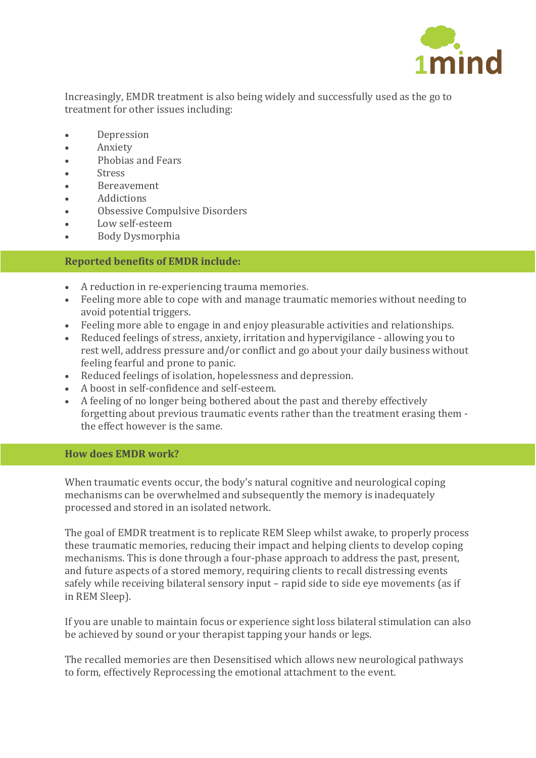

Increasingly, EMDR treatment is also being widely and successfully used as the go to treatment for other issues including:

- **Depression**
- Anxiety
- Phobias and Fears
- Stress
- Bereavement
- Addictions
- Obsessive Compulsive Disorders
- Low self-esteem
- Body Dysmorphia

# **Reported benefits of EMDR include:**

- A reduction in re-experiencing trauma memories.
- Feeling more able to cope with and manage traumatic memories without needing to avoid potential triggers.
- Feeling more able to engage in and enjoy pleasurable activities and relationships.
- Reduced feelings of stress, anxiety, irritation and hypervigilance allowing you to rest well, address pressure and/or conflict and go about your daily business without feeling fearful and prone to panic.
- Reduced feelings of isolation, hopelessness and depression.
- A boost in self-confidence and self-esteem.
- A feeling of no longer being bothered about the past and thereby effectively forgetting about previous traumatic events rather than the treatment erasing them the effect however is the same.

### **How does EMDR work?**

When traumatic events occur, the body's natural cognitive and neurological coping mechanisms can be overwhelmed and subsequently the memory is inadequately processed and stored in an isolated network.

The goal of EMDR treatment is to replicate REM Sleep whilst awake, to properly process these traumatic memories, reducing their impact and helping clients to develop coping mechanisms. This is done through a four-phase approach to address the past, present, and future aspects of a stored memory, requiring clients to recall distressing events safely while receiving bilateral sensory input – rapid side to side eye movements (as if in REM Sleep).

If you are unable to maintain focus or experience sight loss bilateral stimulation can also be achieved by sound or your therapist tapping your hands or legs.

The recalled memories are then Desensitised which allows new neurological pathways to form, effectively Reprocessing the emotional attachment to the event.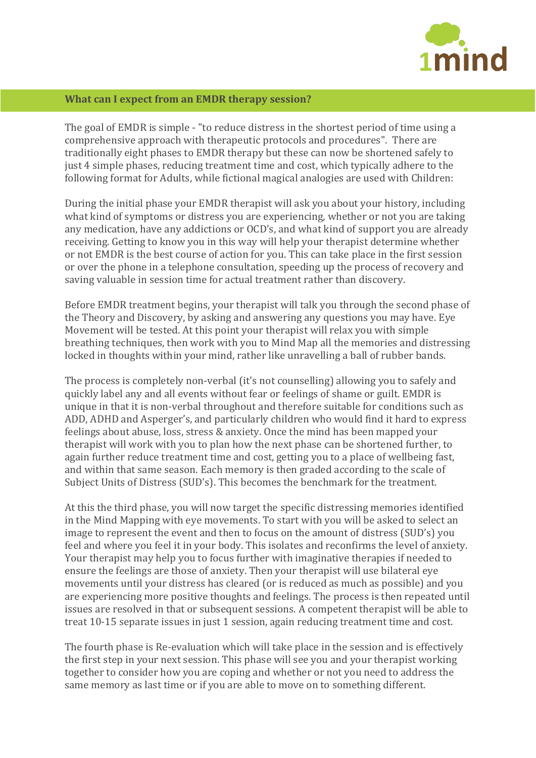

# **What can I expect from an EMDR therapy session?**

The goal of EMDR is simple - "to reduce distress in the shortest period of time using a comprehensive approach with therapeutic protocols and procedures". There are traditionally eight phases to EMDR therapy but these can now be shortened safely to just 4 simple phases, reducing treatment time and cost, which typically adhere to the following format for Adults, while fictional magical analogies are used with Children:

During the initial phase your EMDR therapist will ask you about your history, including what kind of symptoms or distress you are experiencing, whether or not you are taking any medication, have any addictions or OCD's, and what kind of support you are already receiving. Getting to know you in this way will help your therapist determine whether or not EMDR is the best course of action for you. This can take place in the first session or over the phone in a telephone consultation, speeding up the process of recovery and saving valuable in session time for actual treatment rather than discovery.

Before EMDR treatment begins, your therapist will talk you through the second phase of the Theory and Discovery, by asking and answering any questions you may have. Eye Movement will be tested. At this point your therapist will relax you with simple breathing techniques, then work with you to Mind Map all the memories and distressing locked in thoughts within your mind, rather like unravelling a ball of rubber bands.

The process is completely non-verbal (it's not counselling) allowing you to safely and quickly label any and all events without fear or feelings of shame or guilt. EMDR is unique in that it is non-verbal throughout and therefore suitable for conditions such as ADD, ADHD and Asperger's, and particularly children who would find it hard to express feelings about abuse, loss, stress & anxiety. Once the mind has been mapped your therapist will work with you to plan how the next phase can be shortened further, to again further reduce treatment time and cost, getting you to a place of wellbeing fast, and within that same season. Each memory is then graded according to the scale of Subject Units of Distress (SUD's). This becomes the benchmark for the treatment.

At this the third phase, you will now target the specific distressing memories identified in the Mind Mapping with eye movements. To start with you will be asked to select an image to represent the event and then to focus on the amount of distress (SUD's) you feel and where you feel it in your body. This isolates and reconfirms the level of anxiety. Your therapist may help you to focus further with imaginative therapies if needed to ensure the feelings are those of anxiety. Then your therapist will use bilateral eye movements until your distress has cleared (or is reduced as much as possible) and you are experiencing more positive thoughts and feelings. The process is then repeated until issues are resolved in that or subsequent sessions. A competent therapist will be able to treat 10-15 separate issues in just 1 session, again reducing treatment time and cost.

The fourth phase is Re-evaluation which will take place in the session and is effectively the first step in your next session. This phase will see you and your therapist working together to consider how you are coping and whether or not you need to address the same memory as last time or if you are able to move on to something different.